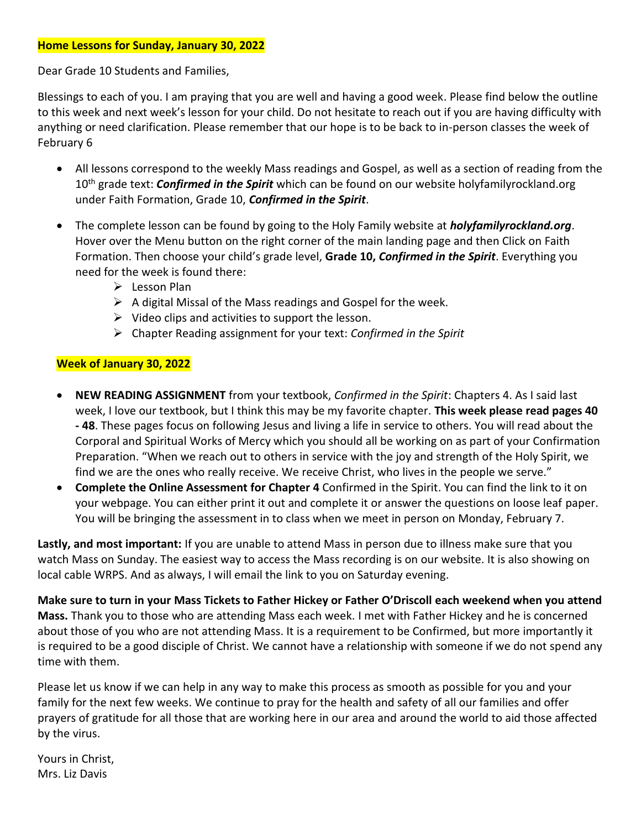# **Home Lessons for Sunday, January 30, 2022**

Dear Grade 10 Students and Families,

Blessings to each of you. I am praying that you are well and having a good week. Please find below the outline to this week and next week's lesson for your child. Do not hesitate to reach out if you are having difficulty with anything or need clarification. Please remember that our hope is to be back to in-person classes the week of February 6

- All lessons correspond to the weekly Mass readings and Gospel, as well as a section of reading from the 10th grade text: *Confirmed in the Spirit* which can be found on our website holyfamilyrockland.org under Faith Formation, Grade 10, *Confirmed in the Spirit*.
- The complete lesson can be found by going to the Holy Family website at *holyfamilyrockland.org*. Hover over the Menu button on the right corner of the main landing page and then Click on Faith Formation. Then choose your child's grade level, **Grade 10,** *Confirmed in the Spirit*. Everything you need for the week is found there:
	- ➢ Lesson Plan
	- $\triangleright$  A digital Missal of the Mass readings and Gospel for the week.
	- $\triangleright$  Video clips and activities to support the lesson.
	- ➢ Chapter Reading assignment for your text: *Confirmed in the Spirit*

# **Week of January 30, 2022**

- **NEW READING ASSIGNMENT** from your textbook, *Confirmed in the Spirit*: Chapters 4. As I said last week, I love our textbook, but I think this may be my favorite chapter. **This week please read pages 40 - 48**. These pages focus on following Jesus and living a life in service to others. You will read about the Corporal and Spiritual Works of Mercy which you should all be working on as part of your Confirmation Preparation. "When we reach out to others in service with the joy and strength of the Holy Spirit, we find we are the ones who really receive. We receive Christ, who lives in the people we serve."
- **Complete the Online Assessment for Chapter 4** Confirmed in the Spirit. You can find the link to it on your webpage. You can either print it out and complete it or answer the questions on loose leaf paper. You will be bringing the assessment in to class when we meet in person on Monday, February 7.

**Lastly, and most important:** If you are unable to attend Mass in person due to illness make sure that you watch Mass on Sunday. The easiest way to access the Mass recording is on our website. It is also showing on local cable WRPS. And as always, I will email the link to you on Saturday evening.

**Make sure to turn in your Mass Tickets to Father Hickey or Father O'Driscoll each weekend when you attend Mass.** Thank you to those who are attending Mass each week. I met with Father Hickey and he is concerned about those of you who are not attending Mass. It is a requirement to be Confirmed, but more importantly it is required to be a good disciple of Christ. We cannot have a relationship with someone if we do not spend any time with them.

Please let us know if we can help in any way to make this process as smooth as possible for you and your family for the next few weeks. We continue to pray for the health and safety of all our families and offer prayers of gratitude for all those that are working here in our area and around the world to aid those affected by the virus.

Yours in Christ, Mrs. Liz Davis